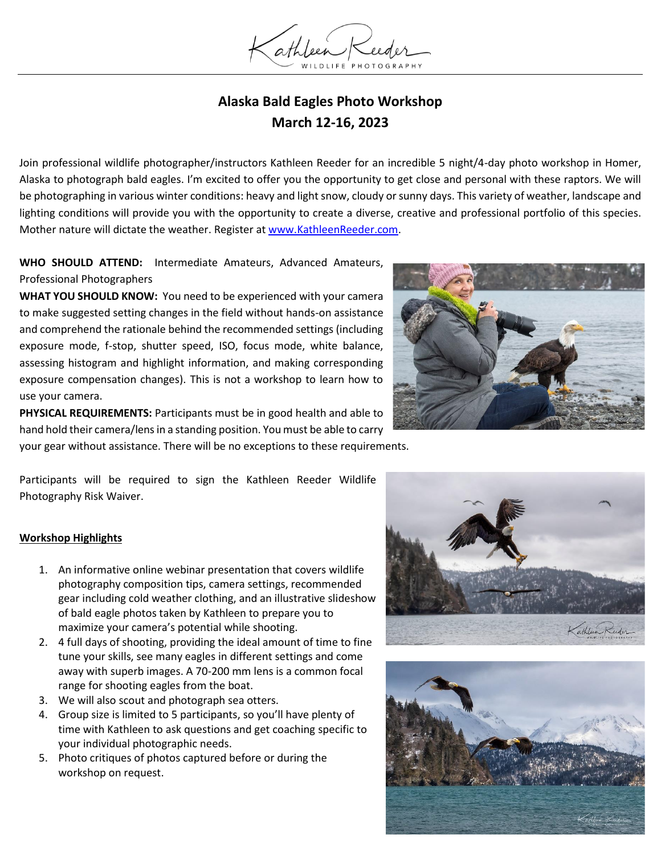

## **Alaska Bald Eagles Photo Workshop March 12-16, 2023**

Join professional wildlife photographer/instructors Kathleen Reeder for an incredible 5 night/4-day photo workshop in Homer, Alaska to photograph bald eagles. I'm excited to offer you the opportunity to get close and personal with these raptors. We will be photographing in various winter conditions: heavy and light snow, cloudy or sunny days. This variety of weather, landscape and lighting conditions will provide you with the opportunity to create a diverse, creative and professional portfolio of this species. Mother nature will dictate the weather. Register a[t www.KathleenReeder.com.](http://www.kathleenreeder.com/)

**WHO SHOULD ATTEND:** Intermediate Amateurs, Advanced Amateurs, Professional Photographers

**WHAT YOU SHOULD KNOW:** You need to be experienced with your camera to make suggested setting changes in the field without hands-on assistance and comprehend the rationale behind the recommended settings (including exposure mode, f-stop, shutter speed, ISO, focus mode, white balance, assessing histogram and highlight information, and making corresponding exposure compensation changes). This is not a workshop to learn how to use your camera.

**PHYSICAL REQUIREMENTS:** Participants must be in good health and able to hand hold their camera/lens in a standing position. You must be able to carry your gear without assistance. There will be no exceptions to these requirements.



Participants will be required to sign the Kathleen Reeder Wildlife Photography Risk Waiver.

#### **Workshop Highlights**

- 1. An informative online webinar presentation that covers wildlife photography composition tips, camera settings, recommended gear including cold weather clothing, and an illustrative slideshow of bald eagle photos taken by Kathleen to prepare you to maximize your camera's potential while shooting.
- 2. 4 full days of shooting, providing the ideal amount of time to fine tune your skills, see many eagles in different settings and come away with superb images. A 70-200 mm lens is a common focal range for shooting eagles from the boat.
- 3. We will also scout and photograph sea otters.
- 4. Group size is limited to 5 participants, so you'll have plenty of time with Kathleen to ask questions and get coaching specific to your individual photographic needs.
- 5. Photo critiques of photos captured before or during the workshop on request.